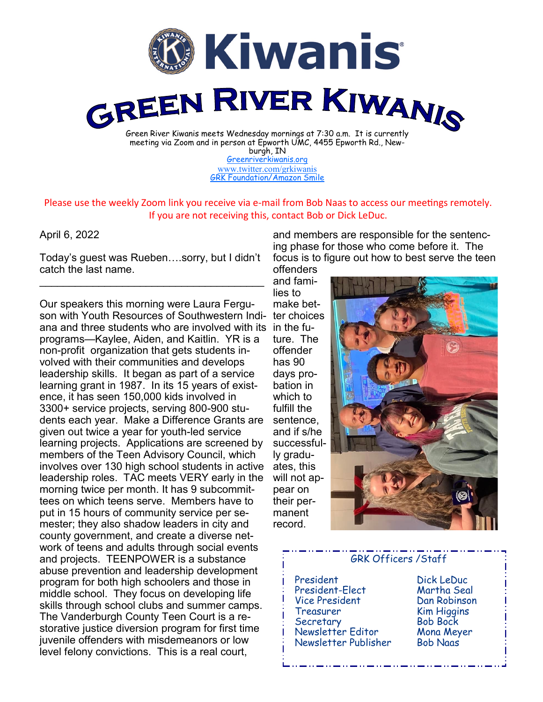

burgh, IN [Greenriverkiwanis.org](http://greenriverkiwanis.org/default.aspx) [www.twitter.com/grkiwanis](http://www.twitter.com/grkiwanis) [GRK Foundation/Amazon Smile](https://smile.amazon.com/ch/81-0946403)

Please use the weekly Zoom link you receive via e-mail from Bob Naas to access our meetings remotely. If you are not receiving this, contact Bob or Dick LeDuc.

## April 6, 2022

Today's guest was Rueben….sorry, but I didn't catch the last name.  $\mathcal{L}_\text{max}$  , and the set of the set of the set of the set of the set of the set of the set of the set of the set of the set of the set of the set of the set of the set of the set of the set of the set of the set of the

Our speakers this morning were Laura Ferguson with Youth Resources of Southwestern Indi-ter choices ana and three students who are involved with its in the fuprograms—Kaylee, Aiden, and Kaitlin. YR is a non-profit organization that gets students involved with their communities and develops leadership skills. It began as part of a service learning grant in 1987. In its 15 years of existence, it has seen 150,000 kids involved in 3300+ service projects, serving 800-900 students each year. Make a Difference Grants are given out twice a year for youth-led service learning projects. Applications are screened by members of the Teen Advisory Council, which involves over 130 high school students in active leadership roles. TAC meets VERY early in the morning twice per month. It has 9 subcommittees on which teens serve. Members have to put in 15 hours of community service per semester; they also shadow leaders in city and county government, and create a diverse network of teens and adults through social events and projects. TEENPOWER is a substance abuse prevention and leadership development program for both high schoolers and those in middle school. They focus on developing life skills through school clubs and summer camps. The Vanderburgh County Teen Court is a restorative justice diversion program for first time juvenile offenders with misdemeanors or low level felony convictions. This is a real court,

and members are responsible for the sentencing phase for those who come before it. The focus is to figure out how to best serve the teen offenders

and families to make betture. The offender has 90 days probation in which to fulfill the sentence, and if s/he successfully graduates, this will not appear on their permanent record.



## GRK Officers /Staff President Dick LeDuc President-Elect Vice President Dan Robinson Treasurer Kim Higgins Secretary Bob Bock Newsletter Editor Mona Meyer Newsletter Publisher Bob Naas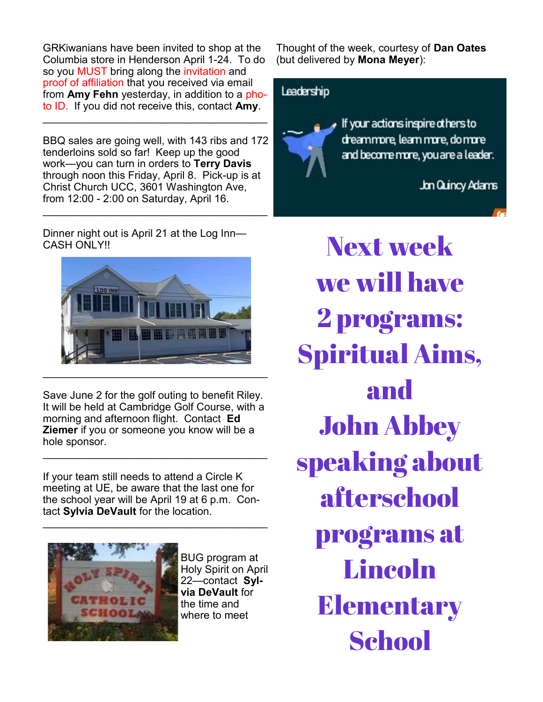GRKiwanians have been invited to shop at the Columbia store in Henderson April 1-24. To do so you MUST bring along the invitation and proof of affiliation that you received via email from **Amy Fehn** yesterday, in addition to a photo ID. If you did not receive this, contact **Amy**.

BBQ sales are going well, with 143 ribs and 172 tenderloins sold so far! Keep up the good work—you can turn in orders to **Terry Davis**  through noon this Friday, April 8. Pick-up is at Christ Church UCC, 3601 Washington Ave, from 12:00 - 2:00 on Saturday, April 16.

Dinner night out is April 21 at the Log Inn— CASH ONLY!!



Save June 2 for the golf outing to benefit Riley. It will be held at Cambridge Golf Course, with a morning and afternoon flight. Contact **Ed Ziemer** if you or someone you know will be a hole sponsor.

 $\mathcal{L}_\text{max}$  , and the set of the set of the set of the set of the set of the set of the set of the set of the set of the set of the set of the set of the set of the set of the set of the set of the set of the set of the

If your team still needs to attend a Circle K meeting at UE, be aware that the last one for the school year will be April 19 at 6 p.m. Contact **Sylvia DeVault** for the location.

 $\mathcal{L}_\text{max}$  , and the set of the set of the set of the set of the set of the set of the set of the set of the set of the set of the set of the set of the set of the set of the set of the set of the set of the set of the



BUG program at Holy Spirit on April 22—contact **Sylvia DeVault** for the time and where to meet

Thought of the week, courtesy of **Dan Oates**  (but delivered by **Mona Meyer**):



Next week we will have 2 programs: Spiritual Aims, and John Abbey speaking about afterschool programs at **Lincoln Elementary School**